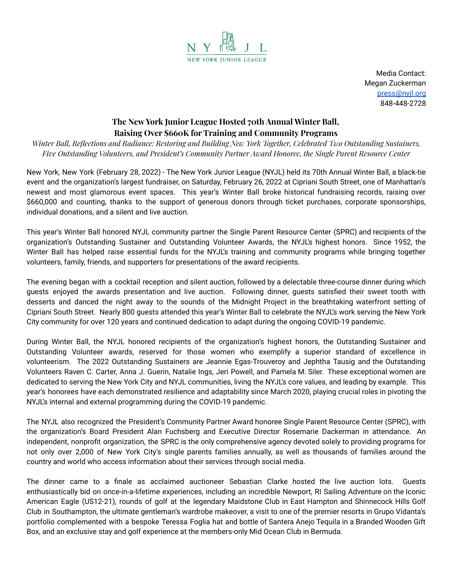

Media Contact: Megan Zuckerman [press@nyjl.org](mailto:press@nyjl.org) 848-448-2728

## **The New York Junior League Hosted 70th Annual Winter Ball, Raising Over \$660K for Training and Community Programs**

*Winter Ball, Reflections and Radiance: Restoring and Building New York Together, Celebrated Two Outstanding Sustainers, Five Outstanding Volunteers, and President's Community Partner Award Honoree, the Single Parent Resource Center*

New York, New York (February 28, 2022) - The New York Junior League (NYJL) held its 70th Annual Winter Ball, a black-tie event and the organization's largest fundraiser, on Saturday, February 26, 2022 at Cipriani South Street, one of Manhattan's newest and most glamorous event spaces. This year's Winter Ball broke historical fundraising records, raising over \$660,000 and counting, thanks to the support of generous donors through ticket purchases, corporate sponsorships, individual donations, and a silent and live auction.

This year's Winter Ball honored NYJL community partner the Single Parent Resource Center (SPRC) and recipients of the organization's Outstanding Sustainer and Outstanding Volunteer Awards, the NYJL's highest honors. Since 1952, the Winter Ball has helped raise essential funds for the NYJL's training and community programs while bringing together volunteers, family, friends, and supporters for presentations of the award recipients.

The evening began with a cocktail reception and silent auction, followed by a delectable three-course dinner during which guests enjoyed the awards presentation and live auction. Following dinner, guests satisfied their sweet tooth with desserts and danced the night away to the sounds of the Midnight Project in the breathtaking waterfront setting of Cipriani South Street. Nearly 800 guests attended this year's Winter Ball to celebrate the NYJL's work serving the New York City community for over 120 years and continued dedication to adapt during the ongoing COVID-19 pandemic.

During Winter Ball, the NYJL honored recipients of the organization's highest honors, the Outstanding Sustainer and Outstanding Volunteer awards, reserved for those women who exemplify a superior standard of excellence in volunteerism. The 2022 Outstanding Sustainers are Jeannie Egas-Trouveroy and Jephtha Tausig and the Outstanding Volunteers Raven C. Carter, Anna J. Guerin, Natalie Ings, Jeri Powell, and Pamela M. Siler. These exceptional women are dedicated to serving the New York City and NYJL communities, living the NYJL's core values, and leading by example. This year's honorees have each demonstrated resilience and adaptability since March 2020, playing crucial roles in pivoting the NYJL's internal and external programming during the COVID-19 pandemic.

The NYJL also recognized the President's Community Partner Award honoree Single Parent Resource Center (SPRC), with the organization's Board President Alan Fuchsberg and Executive Director Rosemarie Dackerman in attendance. An independent, nonprofit organization, the SPRC is the only comprehensive agency devoted solely to providing programs for not only over 2,000 of New York City's single parents families annually, as well as thousands of families around the country and world who access information about their services through social media.

The dinner came to a finale as acclaimed auctioneer Sebastian Clarke hosted the live auction lots. Guests enthusiastically bid on once-in-a-lifetime experiences, including an incredible Newport, RI Sailing Adventure on the Iconic American Eagle (US12-21), rounds of golf at the legendary Maidstone Club in East Hampton and Shinnecock Hills Golf Club in Southampton, the ultimate gentleman's wardrobe makeover, a visit to one of the premier resorts in Grupo Vidanta's portfolio complemented with a bespoke Teressa Foglia hat and bottle of Santera Anejo Tequila in a Branded Wooden Gift Box, and an exclusive stay and golf experience at the members-only Mid Ocean Club in Bermuda.